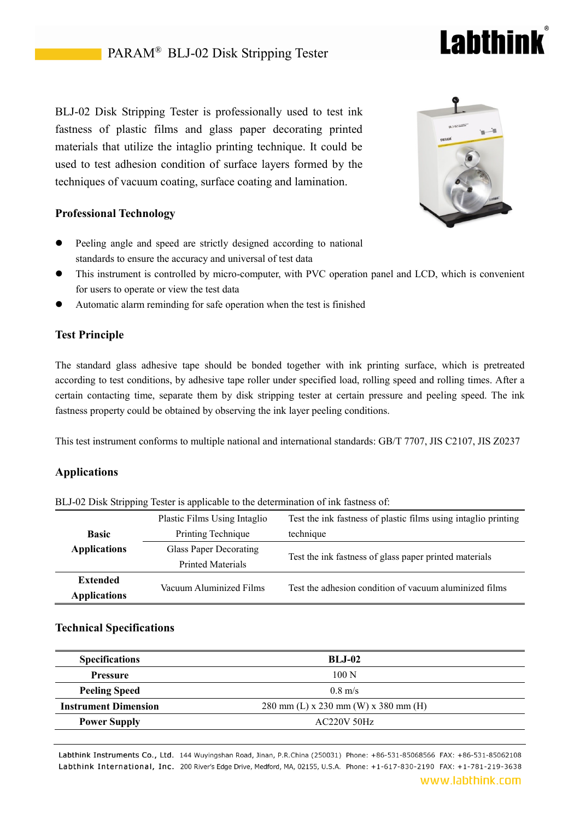# BLJ-02 Disk Stripping Tester is professionally used to test ink fastness of plastic films and glass paper decorating printed materials that utilize the intaglio printing technique. It could be used to test adhesion condition of surface layers formed by the techniques of vacuum coating, surface coating and lamination.

# **Professional Technology**

- Peeling angle and speed are strictly designed according to national standards to ensure the accuracy and universal of test data
- This instrument is controlled by micro-computer, with PVC operation panel and LCD, which is convenient for users to operate or view the test data
- Automatic alarm reminding for safe operation when the test is finished

## **Test Principle**

The standard glass adhesive tape should be bonded together with ink printing surface, which is pretreated according to test conditions, by adhesive tape roller under specified load, rolling speed and rolling times. After a certain contacting time, separate them by disk stripping tester at certain pressure and peeling speed. The ink fastness property could be obtained by observing the ink layer peeling conditions.

This test instrument conforms to multiple national and international standards: GB/T 7707, JIS C2107, JIS Z0237

### **Applications**

BLJ-02 Disk Stripping Tester is applicable to the determination of ink fastness of:

|                     | Plastic Films Using Intaglio  | Test the ink fastness of plastic films using intaglio printing |
|---------------------|-------------------------------|----------------------------------------------------------------|
| <b>Basic</b>        | Printing Technique            | technique                                                      |
| <b>Applications</b> | <b>Glass Paper Decorating</b> | Test the ink fastness of glass paper printed materials         |
|                     | <b>Printed Materials</b>      |                                                                |
| <b>Extended</b>     | Vacuum Aluminized Films       | Test the adhesion condition of vacuum aluminized films         |
| <b>Applications</b> |                               |                                                                |
|                     |                               |                                                                |

### **Technical Specifications**

| <b>Specifications</b>       | <b>BL.I-02</b>                       |
|-----------------------------|--------------------------------------|
| <b>Pressure</b>             | 100 N                                |
| <b>Peeling Speed</b>        | $0.8$ m/s                            |
| <b>Instrument Dimension</b> | 280 mm (L) x 230 mm (W) x 380 mm (H) |
| <b>Power Supply</b>         | <b>AC220V 50Hz</b>                   |

Labthink Instruments Co., Ltd. 144 Wuyingshan Road, Jinan, P.R.China (250031) Phone: +86-531-85068566 FAX: +86-531-85062108 Labthink International, Inc. 200 River's Edge Drive, Medford, MA, 02155, U.S.A. Phone: +1-617-830-2190 FAX: +1-781-219-3638





**Labthink**